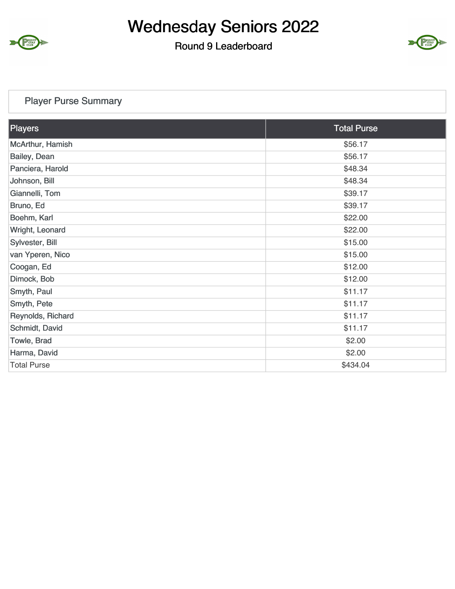

#### Round 9 Leaderboard



#### Player Purse Summary

| Players            | <b>Total Purse</b> |
|--------------------|--------------------|
| McArthur, Hamish   | \$56.17            |
| Bailey, Dean       | \$56.17            |
| Panciera, Harold   | \$48.34            |
| Johnson, Bill      | \$48.34            |
| Giannelli, Tom     | \$39.17            |
| Bruno, Ed          | \$39.17            |
| Boehm, Karl        | \$22.00            |
| Wright, Leonard    | \$22.00            |
| Sylvester, Bill    | \$15.00            |
| van Yperen, Nico   | \$15.00            |
| Coogan, Ed         | \$12.00            |
| Dimock, Bob        | \$12.00            |
| Smyth, Paul        | \$11.17            |
| Smyth, Pete        | \$11.17            |
| Reynolds, Richard  | \$11.17            |
| Schmidt, David     | \$11.17            |
| Towle, Brad        | \$2.00             |
| Harma, David       | \$2.00             |
| <b>Total Purse</b> | \$434.04           |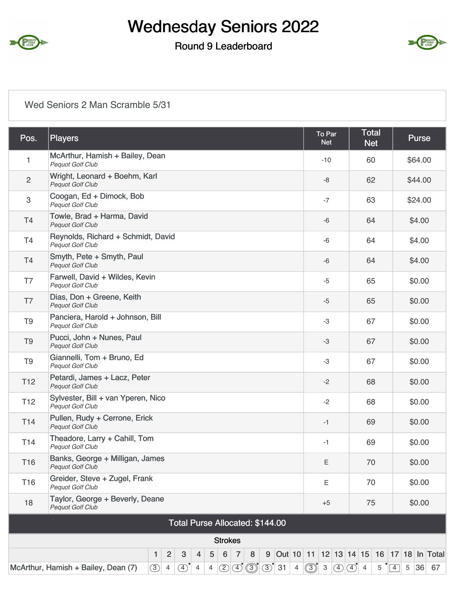

#### Round 9 Leaderboard



#### Wed Seniors 2 Man Scramble 5/31

| Players                                                                                                          | To Par<br><b>Net</b>                                                                                                     | <b>Total</b><br><b>Net</b> | Purse                                                                                                                                                                                                 |
|------------------------------------------------------------------------------------------------------------------|--------------------------------------------------------------------------------------------------------------------------|----------------------------|-------------------------------------------------------------------------------------------------------------------------------------------------------------------------------------------------------|
| McArthur, Hamish + Bailey, Dean<br><b>Pequot Golf Club</b>                                                       | $-10$                                                                                                                    | 60                         | \$64.00                                                                                                                                                                                               |
| Wright, Leonard + Boehm, Karl<br><b>Pequot Golf Club</b>                                                         | -8                                                                                                                       | 62                         | \$44.00                                                                                                                                                                                               |
| Coogan, Ed + Dimock, Bob<br><b>Pequot Golf Club</b>                                                              | $-7$                                                                                                                     | 63                         | \$24.00                                                                                                                                                                                               |
| Towle, Brad + Harma, David<br><b>Pequot Golf Club</b>                                                            | -6                                                                                                                       | 64                         | \$4.00                                                                                                                                                                                                |
| Reynolds, Richard + Schmidt, David<br>Pequot Golf Club                                                           | $-6$                                                                                                                     | 64                         | \$4.00                                                                                                                                                                                                |
| Smyth, Pete + Smyth, Paul<br><b>Pequot Golf Club</b>                                                             | -6                                                                                                                       | 64                         | \$4.00                                                                                                                                                                                                |
| Farwell, David + Wildes, Kevin<br><b>Pequot Golf Club</b>                                                        | $-5$                                                                                                                     | 65                         | \$0.00                                                                                                                                                                                                |
| Dias, Don + Greene, Keith<br><b>Pequot Golf Club</b>                                                             | $-5$                                                                                                                     | 65                         | \$0.00                                                                                                                                                                                                |
| Panciera, Harold + Johnson, Bill<br>Pequot Golf Club                                                             | -3                                                                                                                       | 67                         | \$0.00                                                                                                                                                                                                |
| Pucci, John + Nunes, Paul<br><b>Pequot Golf Club</b>                                                             | -3                                                                                                                       | 67                         | \$0.00                                                                                                                                                                                                |
| Giannelli, Tom + Bruno, Ed<br><b>Pequot Golf Club</b>                                                            | -3                                                                                                                       | 67                         | \$0.00                                                                                                                                                                                                |
| Petardi, James + Lacz, Peter<br><b>Pequot Golf Club</b>                                                          | $-2$                                                                                                                     | 68                         | \$0.00                                                                                                                                                                                                |
| Sylvester, Bill + van Yperen, Nico<br>Pequot Golf Club                                                           | $-2$                                                                                                                     | 68                         | \$0.00                                                                                                                                                                                                |
| Pullen, Rudy + Cerrone, Erick<br><b>Pequot Golf Club</b>                                                         | $-1$                                                                                                                     | 69                         | \$0.00                                                                                                                                                                                                |
| Theadore, Larry + Cahill, Tom<br>Pequot Golf Club                                                                | $-1$                                                                                                                     | 69                         | \$0.00                                                                                                                                                                                                |
| Banks, George + Milligan, James<br><b>Pequot Golf Club</b>                                                       | Ε                                                                                                                        | 70                         | \$0.00                                                                                                                                                                                                |
| Greider, Steve + Zugel, Frank<br>Pequot Golf Club                                                                | E                                                                                                                        | 70                         | \$0.00                                                                                                                                                                                                |
| Taylor, George + Beverly, Deane<br><b>Pequot Golf Club</b>                                                       | $+5$                                                                                                                     | 75                         | \$0.00                                                                                                                                                                                                |
| Total Purse Allocated: \$144.00                                                                                  |                                                                                                                          |                            |                                                                                                                                                                                                       |
| <b>Strokes</b>                                                                                                   |                                                                                                                          |                            |                                                                                                                                                                                                       |
| $\overline{2}$<br>$\overline{7}$<br>$\mathbf{3}$<br>$\overline{5}$<br>$6\phantom{1}$<br>$\overline{4}$<br>8<br>1 |                                                                                                                          |                            | 5 36 67                                                                                                                                                                                               |
|                                                                                                                  | McArthur, Hamish + Bailey, Dean (7)<br>(3)<br>(2)<br>$\overline{4}$<br>$\mathcal{F}$<br>$\overline{4}$<br>$\overline{4}$ |                            | 9 Out 10 11 12 13 14 15 16 17 18 In Total<br>$\boxed{4}$ $\boxed{3}$ $\boxed{3}$ $\boxed{3}$ $\boxed{3}$ $\boxed{4}$ $\boxed{3}$ $\boxed{3}$ $\boxed{4}$ $\boxed{4}$ $\boxed{4}$<br>$5 \n\sqrt[4]{4}$ |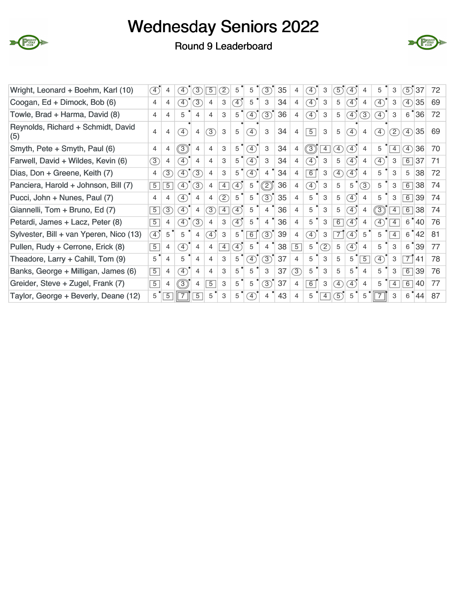



#### Round 9 Leaderboard

| Wright, Leonard + Boehm, Karl (10)        | $\left( 4\right)$ | 4                | $\left(4\right)$             | 3)             | $5^{\circ}$    | (2)            | 5                | 5                            | 3)             | 35 | 4              | $\left(4\right)$             | 3                 | $\boxed{5}$    | (4)                          | 4               | 5                            | 3              | 5                            | 37 | 72 |
|-------------------------------------------|-------------------|------------------|------------------------------|----------------|----------------|----------------|------------------|------------------------------|----------------|----|----------------|------------------------------|-------------------|----------------|------------------------------|-----------------|------------------------------|----------------|------------------------------|----|----|
| Coogan, Ed + Dimock, Bob (6)              | 4                 | 4                | $\left(4\right)$             | 3              | 4              | 3              | $\left(4\right)$ | 5                            | 3              | 34 | 4              | $\circled{4}$                | 3                 | 5              | $\left(4\right)$             | 4               | $\left( 4\right)$            | 3              | $\circled{4}$                | 35 | 69 |
| Towle, Brad + Harma, David (8)            | 4                 | 4                | 5                            | 4              | $\overline{4}$ | 3              | 5                | $\left( \overline{4}\right)$ | (3)            | 36 | 4              | $\circ$                      | 3                 | 5              | $\left( \overline{4}\right)$ | 3)              | $\left( \overline{4}\right)$ | 3              | 6                            | 36 | 72 |
| Reynolds, Richard + Schmidt, David<br>(5) | 4                 | 4                | $\left( \overline{4}\right)$ | 4              | $\circled{3}$  | 3              | 5                | $\boxed{4}$                  | 3              | 34 | 4              | $\sqrt{5}$                   | 3                 | 5              | $\left( \overline{4}\right)$ | 4               | $\left( \overline{4}\right)$ | (2)            | $\circ$                      | 35 | 69 |
| Smyth, Pete + Smyth, Paul (6)             | 4                 | 4                | $\circledS$                  | 4              | 4              | 3              | 5                | T)                           | 3              | 34 | 4              | $\circledS$                  | $\vert 4 \vert$   | Ŧ,             | $\left( \overline{4}\right)$ | $\overline{4}$  | 5                            | 4              | $\left( \overline{4}\right)$ | 36 | 70 |
| Farwell, David + Wildes, Kevin (6)        | $\circled{3}$     | 4                | $\circledast$                | 4              | $\overline{4}$ | 3              | $5^{\circ}$      | $\left( \overline{4}\right)$ | 3              | 34 | 4              | $\circ$                      | 3                 | 5              | $\left( 4\right)$            | 4               | $\boxed{4}$                  | 3              | $6\overline{6}$              | 37 | 71 |
| Dias, Don + Greene, Keith (7)             | 4                 | 3                | $\left(4\right)$             | $\circled{3}$  | 4              | 3              | 5                | $\left( \overline{4}\right)$ | $\overline{4}$ | 34 | 4              | 6                            | 3                 | $\boxed{4}$    | $\left( \overline{4}\right)$ | $\overline{4}$  | 5                            | 3              | 5                            | 38 | 72 |
| Panciera, Harold + Johnson, Bill (7)      | 5                 | $\overline{5}$   | $\left( \overline{4}\right)$ | $\circled{3}$  | 4              | $\overline{4}$ | $\ket{4}$        | 5                            | Ø              | 36 | 4              | F)                           | 3                 | 5              | 5                            | 3               | 5                            | 3              | 6                            | 38 | 74 |
| Pucci, John + Nunes, Paul (7)             | 4                 | 4                | $\left(4\right)$             | 4              | 4              | $\mathcal{D}$  | 5                | 5                            | 3              | 35 | 4              | 5                            | 3                 | 5              | $\left( 4\right)$            | 4               | 5                            | 3              | 6                            | 39 | 74 |
| Giannelli, Tom + Bruno, Ed (7)            | 5                 | $\left(3\right)$ | $\left( \overline{4}\right)$ | 4              | $\circled{3}$  | $\overline{4}$ | $\left(4\right)$ | 5                            | $\overline{4}$ | 36 | 4              | 5                            | 3                 | 5              | $\left(4\right)$             | 4               | 3)                           | $\overline{4}$ | $6\overline{6}$              | 38 | 74 |
| Petardi, James + Lacz, Peter (8)          | $\overline{5}$    | 4                | $\left( \overline{4}\right)$ | 3              | 4              | 3              | $\boxed{4}$      | 5                            | 4              | 36 | 4              | 5                            | 3                 | $\overline{6}$ | $\left( 4\right)$            | 4               | $\boxed{4}$                  | 4              | 6                            | 40 | 76 |
| Sylvester, Bill + van Yperen, Nico (13)   | $\left( 4\right)$ | 5                | 5                            | 4              | $\mathcal{A}$  | 3              | 5                | 6                            | $\circled{3}$  | 39 | 4              | $\left( \overline{4}\right)$ | 3                 | $\overline{7}$ | $\left(4\right)$             | 5               | 5                            | $\overline{4}$ | 6                            | 42 | 81 |
| Pullen, Rudy + Cerrone, Erick (8)         | $\overline{5}$    | 4                | $\left( \overline{4}\right)$ | 4              | 4              | $\overline{4}$ | $\boxed{4}$      | 5                            | $\overline{4}$ | 38 | $\overline{5}$ | 5                            | $\left( 2\right)$ | 5              | $\left( \overline{4}\right)$ | 4               | 5                            | 3              | 6                            | 39 | 77 |
| Theadore, Larry + Cahill, Tom (9)         | 5                 | 4                | 5                            | 4              | 4              | 3              | 5                | $\left( 4\right)$            | $\mathcal{F}$  | 37 | 4              | 5                            | 3                 | 5              | 5                            | $5\overline{)}$ | $\left( 4\right)$            | 3              | $\overline{7}$               | 41 | 78 |
| Banks, George + Milligan, James (6)       | $5\overline{)}$   | 4                | $\left( \overline{4}\right)$ | 4              | $\overline{4}$ | 3              | 5                | 5                            | 3              | 37 | 3              | 5                            | 3                 | 5              | 5                            | 4               | 5                            | 3              | 6                            | 39 | 76 |
| Greider, Steve + Zugel, Frank (7)         | $\overline{5}$    | 4                | 3)                           | 4              | $\overline{5}$ | 3              | $5^{\degree}$    | 5                            | $\circled{3}$  | 37 | 4              | 6                            | 3                 | $\boxed{4}$    | $\left(4\right)$             | 4               | 5                            | $\overline{4}$ | 6                            | 40 | 77 |
| Taylor, George + Beverly, Deane (12)      | 5                 | $\overline{5}$   |                              | $\overline{5}$ | 5              | 3              | 5                | $\left( \overline{4}\right)$ | 4              | 43 | 4              | 5                            | $\overline{4}$    | $\circ$        | 5                            | 5               |                              | 3              | 6                            | 44 | 87 |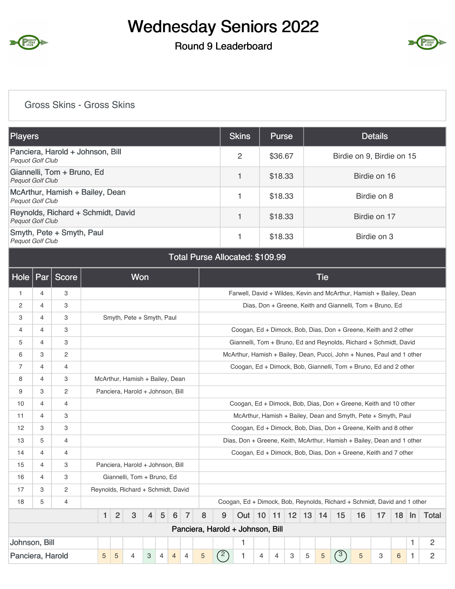

### Round 9 Leaderboard



#### Gross Skins - Gross Skins

| <b>Players</b>                                                | <b>Skins</b> | <b>Purse</b> | <b>Details</b>            |
|---------------------------------------------------------------|--------------|--------------|---------------------------|
| Panciera, Harold + Johnson, Bill<br><b>Pequot Golf Club</b>   | 2            | \$36.67      | Birdie on 9, Birdie on 15 |
| Giannelli, Tom + Bruno, Ed<br><b>Pequot Golf Club</b>         |              | \$18.33      | Birdie on 16              |
| McArthur, Hamish + Bailey, Dean<br><b>Pequot Golf Club</b>    |              | \$18.33      | Birdie on 8               |
| Reynolds, Richard + Schmidt, David<br><b>Pequot Golf Club</b> |              | \$18.33      | Birdie on 17              |
| Smyth, Pete + Smyth, Paul<br><b>Pequot Golf Club</b>          |              | \$18.33      | Birdie on 3               |

#### Total Purse Allocated: \$109.99

| <b>Hole</b>      | Par            | Score          |   |                | <b>Won</b>                         |                |                |                |                |   |                                  |                                                                          |                 |                |   |         | <b>Tie</b> |            |                                                          |    |    |    |                |
|------------------|----------------|----------------|---|----------------|------------------------------------|----------------|----------------|----------------|----------------|---|----------------------------------|--------------------------------------------------------------------------|-----------------|----------------|---|---------|------------|------------|----------------------------------------------------------|----|----|----|----------------|
| $\mathbf{1}$     | $\overline{4}$ | 3              |   |                |                                    |                |                |                |                |   |                                  | Farwell, David + Wildes, Kevin and McArthur, Hamish + Bailey, Dean       |                 |                |   |         |            |            |                                                          |    |    |    |                |
| 2                | 4              | 3              |   |                |                                    |                |                |                |                |   |                                  |                                                                          |                 |                |   |         |            |            | Dias, Don + Greene, Keith and Giannelli, Tom + Bruno, Ed |    |    |    |                |
| 3                | 4              | 3              |   |                | Smyth, Pete + Smyth, Paul          |                |                |                |                |   |                                  |                                                                          |                 |                |   |         |            |            |                                                          |    |    |    |                |
| 4                | 4              | 3              |   |                |                                    |                |                |                |                |   |                                  | Coogan, Ed + Dimock, Bob, Dias, Don + Greene, Keith and 2 other          |                 |                |   |         |            |            |                                                          |    |    |    |                |
| 5                | 4              | 3              |   |                |                                    |                |                |                |                |   |                                  | Giannelli, Tom + Bruno, Ed and Reynolds, Richard + Schmidt, David        |                 |                |   |         |            |            |                                                          |    |    |    |                |
| 6                | 3              | $\overline{2}$ |   |                |                                    |                |                |                |                |   |                                  | McArthur, Hamish + Bailey, Dean, Pucci, John + Nunes, Paul and 1 other   |                 |                |   |         |            |            |                                                          |    |    |    |                |
| $\overline{7}$   | $\overline{4}$ | $\overline{4}$ |   |                |                                    |                |                |                |                |   |                                  | Coogan, Ed + Dimock, Bob, Giannelli, Tom + Bruno, Ed and 2 other         |                 |                |   |         |            |            |                                                          |    |    |    |                |
| 8                | 4              | 3              |   |                | McArthur, Hamish + Bailey, Dean    |                |                |                |                |   |                                  |                                                                          |                 |                |   |         |            |            |                                                          |    |    |    |                |
| 9                | 3              | 2              |   |                | Panciera, Harold + Johnson, Bill   |                |                |                |                |   |                                  |                                                                          |                 |                |   |         |            |            |                                                          |    |    |    |                |
| 10               | 4              | $\overline{4}$ |   |                |                                    |                |                |                |                |   |                                  | Coogan, Ed + Dimock, Bob, Dias, Don + Greene, Keith and 10 other         |                 |                |   |         |            |            |                                                          |    |    |    |                |
| 11               | 4              | 3              |   |                |                                    |                |                |                |                |   |                                  | McArthur, Hamish + Bailey, Dean and Smyth, Pete + Smyth, Paul            |                 |                |   |         |            |            |                                                          |    |    |    |                |
| 12               | 3              | 3              |   |                |                                    |                |                |                |                |   |                                  | Coogan, Ed + Dimock, Bob, Dias, Don + Greene, Keith and 8 other          |                 |                |   |         |            |            |                                                          |    |    |    |                |
| 13               | 5              | $\overline{4}$ |   |                |                                    |                |                |                |                |   |                                  | Dias, Don + Greene, Keith, McArthur, Hamish + Bailey, Dean and 1 other   |                 |                |   |         |            |            |                                                          |    |    |    |                |
| 14               | 4              | $\overline{4}$ |   |                |                                    |                |                |                |                |   |                                  | Coogan, Ed + Dimock, Bob, Dias, Don + Greene, Keith and 7 other          |                 |                |   |         |            |            |                                                          |    |    |    |                |
| 15               | 4              | 3              |   |                | Panciera, Harold + Johnson, Bill   |                |                |                |                |   |                                  |                                                                          |                 |                |   |         |            |            |                                                          |    |    |    |                |
| 16               | 4              | 3              |   |                | Giannelli, Tom + Bruno, Ed         |                |                |                |                |   |                                  |                                                                          |                 |                |   |         |            |            |                                                          |    |    |    |                |
| 17               | 3              | $\overline{2}$ |   |                | Reynolds, Richard + Schmidt, David |                |                |                |                |   |                                  |                                                                          |                 |                |   |         |            |            |                                                          |    |    |    |                |
| 18               | 5              | $\overline{4}$ |   |                |                                    |                |                |                |                |   |                                  | Coogan, Ed + Dimock, Bob, Reynolds, Richard + Schmidt, David and 1 other |                 |                |   |         |            |            |                                                          |    |    |    |                |
|                  |                |                | 1 | $\overline{2}$ | 3                                  | $\overline{4}$ | 5              | 6              | $\overline{7}$ | 8 | 9                                | Out <sub>1</sub>                                                         | 10 <sup>1</sup> | 11             |   | $12$ 13 | 14         | 15         | 16                                                       | 17 | 18 | In | Total          |
|                  |                |                |   |                |                                    |                |                |                |                |   | Panciera, Harold + Johnson, Bill |                                                                          |                 |                |   |         |            |            |                                                          |    |    |    |                |
| Johnson, Bill    |                |                |   |                |                                    |                |                |                |                |   |                                  | 1                                                                        |                 |                |   |         |            |            |                                                          |    |    | 1  | $\overline{c}$ |
| Panciera, Harold |                |                | 5 | 5              | 4                                  | 3              | $\overline{4}$ | $\overline{4}$ | $\overline{4}$ | 5 | $\widehat{2}$                    | 1                                                                        | 4               | $\overline{4}$ | 3 | 5       | 5          | $\sqrt{3}$ | 5                                                        | 3  | 6  | 1. | $\overline{c}$ |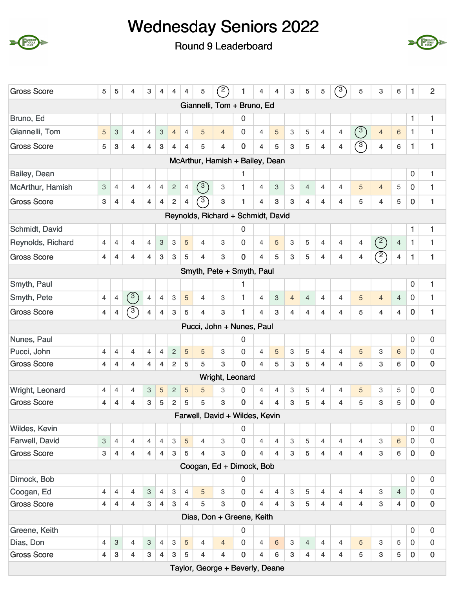





|                                                                                                                                                                                                                                                                                                                                                                                    | 5                         | 5                         | 4                       | 3                         | 4                         | 4                         | $\overline{4}$ | 5                                              | $\binom{2}{ }$                     |                |                |                |                           |                |                |                |                |                         |                |              |                     |
|------------------------------------------------------------------------------------------------------------------------------------------------------------------------------------------------------------------------------------------------------------------------------------------------------------------------------------------------------------------------------------|---------------------------|---------------------------|-------------------------|---------------------------|---------------------------|---------------------------|----------------|------------------------------------------------|------------------------------------|----------------|----------------|----------------|---------------------------|----------------|----------------|----------------|----------------|-------------------------|----------------|--------------|---------------------|
| <b>Gross Score</b>                                                                                                                                                                                                                                                                                                                                                                 | 1                         | 4                         | 4                       | 3                         | 5                         | 5                         | $\sqrt{3}$     | 5                                              | 3                                  | 6              | 1.             | $\overline{2}$ |                           |                |                |                |                |                         |                |              |                     |
|                                                                                                                                                                                                                                                                                                                                                                                    |                           |                           |                         |                           |                           |                           |                |                                                | Giannelli, Tom + Bruno, Ed         |                |                |                |                           |                |                |                |                |                         |                |              |                     |
| Bruno, Ed                                                                                                                                                                                                                                                                                                                                                                          |                           |                           |                         |                           |                           |                           |                |                                                |                                    | 0              |                |                |                           |                |                |                |                |                         |                | 1            | 1                   |
| Giannelli, Tom                                                                                                                                                                                                                                                                                                                                                                     | 5                         | 3                         | $\overline{4}$          | $\overline{4}$            | $\ensuremath{\mathsf{3}}$ | $\overline{4}$            | $\overline{4}$ | 5                                              | $\overline{4}$                     | 0              | $\overline{4}$ | $\overline{5}$ | 3                         | 5              | $\overline{4}$ | 4              | $\circled{3}$  | $\overline{4}$          | $\,6\,$        | 1            | 1                   |
| <b>Gross Score</b>                                                                                                                                                                                                                                                                                                                                                                 | 5                         | 3                         | 4                       | 4                         | 3                         | 4                         | $\overline{4}$ | 5                                              | $\overline{4}$                     | 0              | 4              | 5              | 3                         | 5              | $\overline{4}$ | 4              | $\circled{3}$  | $\overline{\mathbf{4}}$ | 6              | $\mathbf{1}$ | 1                   |
|                                                                                                                                                                                                                                                                                                                                                                                    |                           |                           |                         |                           |                           |                           |                |                                                | McArthur, Hamish + Bailey, Dean    |                |                |                |                           |                |                |                |                |                         |                |              |                     |
| Bailey, Dean                                                                                                                                                                                                                                                                                                                                                                       |                           |                           |                         |                           |                           |                           |                |                                                |                                    | 1              |                |                |                           |                |                |                |                |                         |                | $\mathbf 0$  | 1                   |
| McArthur, Hamish                                                                                                                                                                                                                                                                                                                                                                   | $\ensuremath{\mathsf{3}}$ | $\overline{4}$            | $\overline{4}$          | $\overline{4}$            | $\overline{4}$            | $\sqrt{2}$                | $\overline{4}$ | $\left( \begin{matrix} 3 \end{matrix} \right)$ | 3                                  | 1              | $\overline{4}$ | 3              | $\mathbf{3}$              | $\overline{4}$ | $\overline{4}$ | $\overline{4}$ | 5              | $\overline{4}$          | 5              | $\mathbf 0$  | 1                   |
| <b>Gross Score</b>                                                                                                                                                                                                                                                                                                                                                                 | 3                         | $\overline{4}$            | $\overline{\mathbf{4}}$ | $\overline{4}$            | $\overline{4}$            | $\overline{2}$            | $\overline{4}$ | $\mathcal{C}$                                  | 3                                  | 1              | $\overline{4}$ | 3              | 3                         | $\overline{4}$ | $\overline{4}$ | 4              | 5              | $\overline{4}$          | 5              | $\mathbf 0$  | $\mathbf{1}$        |
|                                                                                                                                                                                                                                                                                                                                                                                    |                           |                           |                         |                           |                           |                           |                |                                                | Reynolds, Richard + Schmidt, David |                |                |                |                           |                |                |                |                |                         |                |              |                     |
| Schmidt, David                                                                                                                                                                                                                                                                                                                                                                     |                           |                           |                         |                           |                           |                           |                |                                                |                                    | 0              |                |                |                           |                |                |                |                |                         |                | $\mathbf{1}$ | 1                   |
| Reynolds, Richard                                                                                                                                                                                                                                                                                                                                                                  | $\overline{4}$            | $\overline{4}$            | $\overline{4}$          | $\overline{4}$            | $\ensuremath{\mathsf{3}}$ | $\ensuremath{\mathsf{3}}$ | $\overline{5}$ | $\overline{4}$                                 | 3                                  | $\overline{0}$ | 4              | 5              | 3                         | 5              | $\overline{4}$ | $\overline{4}$ | $\overline{4}$ | $\circled{2}$           | $\overline{4}$ | $\mathbf{1}$ | 1                   |
| <b>Gross Score</b>                                                                                                                                                                                                                                                                                                                                                                 | 4                         | $\overline{4}$            | 4                       | $\overline{4}$            | $\ensuremath{\mathsf{3}}$ | $\ensuremath{\mathsf{3}}$ | 5              | 4                                              | 3                                  | $\mathbf 0$    | $\overline{4}$ | 5              | 3                         | 5              | $\overline{4}$ | 4              | 4              | $\mathcal{D}$           | 4              | $\mathbf{1}$ | 1                   |
| Smyth, Pete + Smyth, Paul<br>0<br>Smyth, Paul<br>1<br>$\overline{4}$<br>$\,3$<br>$\overline{4}$<br>$\overline{4}$<br>$\overline{5}$<br>1<br>5<br>$\overline{0}$<br>Smyth, Pete<br>$\overline{4}$<br>$\overline{4}$<br>$\overline{4}$<br>$\ensuremath{\mathsf{3}}$<br>$\overline{4}$<br>$\overline{4}$<br>$\overline{4}$<br>$\overline{4}$<br>$\overline{4}$<br>$\overline{4}$<br>3 |                           |                           |                         |                           |                           |                           |                |                                                |                                    |                |                |                |                           |                |                |                |                |                         |                |              |                     |
| 1                                                                                                                                                                                                                                                                                                                                                                                  |                           |                           |                         |                           |                           |                           |                |                                                |                                    |                |                |                |                           |                |                |                |                |                         |                |              |                     |
|                                                                                                                                                                                                                                                                                                                                                                                    |                           |                           | $\binom{3}{}$           |                           |                           |                           |                |                                                |                                    |                |                |                |                           |                |                |                |                |                         |                |              | 1                   |
| <b>Gross Score</b>                                                                                                                                                                                                                                                                                                                                                                 | $\overline{4}$            | 4                         | $\widehat{3}$           | 4                         | 4                         | $\mathbf{3}$              | 5              | 4                                              | 3                                  | 1              | $\overline{4}$ | 3              | $\overline{4}$            | 4              | $\overline{4}$ | 4              | 5              | $\overline{4}$          | $\overline{4}$ | $\mathbf 0$  | 1                   |
| Pucci, John + Nunes, Paul<br>Nunes, Paul<br>0<br>0<br>Pucci, John<br>$\overline{4}$<br>$\overline{4}$<br>$\sqrt{2}$<br>5<br>$\overline{4}$<br>$\overline{4}$<br>$\overline{4}$<br>5<br>3                                                                                                                                                                                           |                           |                           |                         |                           |                           |                           |                |                                                |                                    |                |                |                |                           |                |                |                |                |                         |                |              |                     |
|                                                                                                                                                                                                                                                                                                                                                                                    |                           |                           |                         |                           |                           |                           |                |                                                |                                    |                |                |                |                           |                |                |                |                |                         |                | 0            | 0                   |
|                                                                                                                                                                                                                                                                                                                                                                                    |                           |                           |                         |                           |                           |                           |                |                                                |                                    |                | $\overline{4}$ | $\overline{5}$ | 3                         | 5              | $\overline{4}$ | $\overline{4}$ | 5              | 3                       | 6              | $\mathbf 0$  | 0                   |
| <b>Gross Score</b>                                                                                                                                                                                                                                                                                                                                                                 | 4                         | $\overline{4}$            | $\overline{4}$          | 4                         | $\overline{4}$            | $\sqrt{2}$                | $\sqrt{5}$     | 5                                              | 3                                  | $\overline{0}$ | $\overline{4}$ | 5              | 3                         | 5              | $\overline{4}$ | $\overline{4}$ | 5              | 3                       | 6              | $\mathbf 0$  | $\pmb{0}$           |
|                                                                                                                                                                                                                                                                                                                                                                                    |                           |                           |                         |                           |                           |                           |                |                                                | Wright, Leonard                    |                |                |                |                           |                |                |                |                |                         |                |              |                     |
| Wright, Leonard                                                                                                                                                                                                                                                                                                                                                                    | 4                         | 4                         | 4                       | 3                         | 5                         | $\overline{c}$            | $\sqrt{5}$     | 5                                              | 3                                  | 0              | 4              | $\overline{4}$ | 3                         | 5              | 4              | 4              | 5              | 3                       | 5              | 0            | 0                   |
| <b>Gross Score</b>                                                                                                                                                                                                                                                                                                                                                                 | $\overline{4}$            | $\overline{4}$            | 4                       | 3                         | $\sqrt{5}$                | $\overline{c}$            | 5              | 5                                              | 3                                  | $\overline{0}$ | 4              | 4              | 3                         | 5              | 4              | 4              | 5              | 3                       | 5              | $\mathbf 0$  | $\bf{0}$            |
|                                                                                                                                                                                                                                                                                                                                                                                    |                           |                           |                         |                           |                           |                           |                |                                                | Farwell, David + Wildes, Kevin     |                |                |                |                           |                |                |                |                |                         |                |              |                     |
| Wildes, Kevin                                                                                                                                                                                                                                                                                                                                                                      |                           |                           |                         |                           |                           |                           |                |                                                |                                    | 0              |                |                |                           |                |                |                |                |                         |                | $\mathbf 0$  | 0                   |
| Farwell, David                                                                                                                                                                                                                                                                                                                                                                     | $\,3$                     | $\overline{4}$            | $\overline{4}$          | $\overline{4}$            | $\overline{4}$            | $\,3$                     | $\overline{5}$ | $\overline{4}$                                 | 3                                  | $\mathbf 0$    | $\overline{4}$ | $\overline{4}$ | $\ensuremath{\mathsf{3}}$ | 5              | $\overline{4}$ | $\overline{4}$ | $\overline{4}$ | 3                       | $\,6$          | $\mathbf 0$  | $\mathsf{O}\xspace$ |
| <b>Gross Score</b>                                                                                                                                                                                                                                                                                                                                                                 | $\ensuremath{\mathsf{3}}$ | $\overline{4}$            | $\overline{4}$          | 4                         | $\overline{4}$            | $\ensuremath{\mathsf{3}}$ | 5              | $\overline{4}$                                 | 3                                  | 0              | 4              | $\overline{4}$ | 3                         | 5              | $\overline{4}$ | 4              | 4              | 3                       | 6              | $\mathbf 0$  | $\pmb{0}$           |
|                                                                                                                                                                                                                                                                                                                                                                                    |                           |                           |                         |                           |                           |                           |                |                                                | Coogan, Ed + Dimock, Bob           |                |                |                |                           |                |                |                |                |                         |                |              |                     |
| Dimock, Bob                                                                                                                                                                                                                                                                                                                                                                        |                           |                           |                         |                           |                           |                           |                |                                                |                                    | 0              |                |                |                           |                |                |                |                |                         |                | $\mathbf 0$  | 0                   |
| Coogan, Ed                                                                                                                                                                                                                                                                                                                                                                         | 4                         | $\overline{4}$            | $\overline{4}$          | 3                         | $\overline{4}$            | $\ensuremath{\mathsf{3}}$ | $\overline{4}$ | 5                                              | 3                                  | $\overline{0}$ | $\overline{4}$ | $\overline{4}$ | 3                         | 5              | $\overline{4}$ | $\overline{4}$ | $\overline{4}$ | 3                       | $\overline{4}$ | $\mathbf 0$  | 0                   |
| <b>Gross Score</b>                                                                                                                                                                                                                                                                                                                                                                 | 4                         | $\overline{4}$            | $\overline{4}$          | $\sqrt{3}$                | $\overline{4}$            | $\mathbf{3}$              | $\overline{4}$ | 5                                              | 3                                  | $\mathbf 0$    | 4              | $\overline{4}$ | $\mathbf{3}$              | 5              | $\overline{4}$ | $\overline{4}$ | $\overline{4}$ | 3                       | 4              | $\mathbf 0$  | $\pmb{0}$           |
|                                                                                                                                                                                                                                                                                                                                                                                    |                           |                           |                         |                           |                           |                           |                |                                                | Dias, Don + Greene, Keith          |                |                |                |                           |                |                |                |                |                         |                |              |                     |
| Greene, Keith                                                                                                                                                                                                                                                                                                                                                                      |                           |                           |                         |                           |                           |                           |                |                                                |                                    | 0              |                |                |                           |                |                |                |                |                         |                | $\mathbf 0$  | 0                   |
| Dias, Don                                                                                                                                                                                                                                                                                                                                                                          | 4                         | $\ensuremath{\mathsf{3}}$ | 4                       | $\ensuremath{\mathsf{3}}$ | $\overline{4}$            | $\mathbf{3}$              | 5              | $\overline{4}$                                 | $\overline{4}$                     | $\mathbf 0$    | $\overline{4}$ | $6\,$          | $\mathbf{3}$              | $\overline{4}$ | $\overline{4}$ | $\overline{4}$ | 5              | 3                       | 5              | $\mathbf 0$  | 0                   |
| <b>Gross Score</b>                                                                                                                                                                                                                                                                                                                                                                 | 4                         | $\ensuremath{\mathsf{3}}$ | $\overline{4}$          | $\sqrt{3}$                | $\overline{4}$            | $\ensuremath{\mathsf{3}}$ | 5              | $\overline{4}$                                 | $\overline{4}$                     | $\mathbf 0$    | $\overline{4}$ | 6              | 3                         | $\overline{4}$ | $\overline{4}$ | $\overline{4}$ | 5              | 3                       | 5              | $\mathbf 0$  | $\mathbf 0$         |
|                                                                                                                                                                                                                                                                                                                                                                                    |                           |                           |                         |                           |                           |                           |                |                                                | Taylor, George + Beverly, Deane    |                |                |                |                           |                |                |                |                |                         |                |              |                     |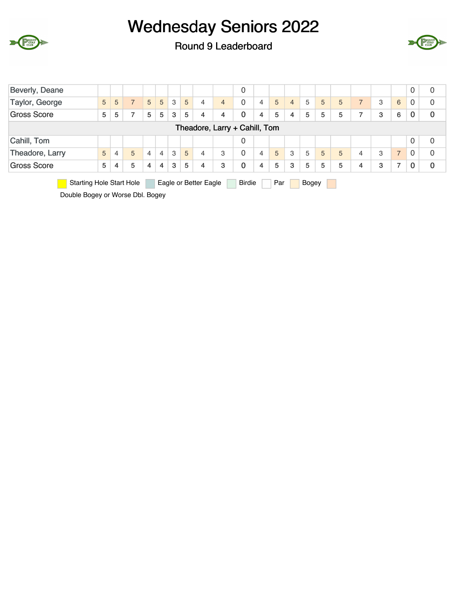

Round 9 Leaderboard



| Beverly, Deane                  |                                              |   |                |                |   |   |   |                       |                | 0             |                |     |                |       |   |   |                |   |                | 0              | 0           |
|---------------------------------|----------------------------------------------|---|----------------|----------------|---|---|---|-----------------------|----------------|---------------|----------------|-----|----------------|-------|---|---|----------------|---|----------------|----------------|-------------|
| Taylor, George                  | 5                                            | 5 | $\overline{7}$ | 5              | 5 | 3 | 5 | $\overline{4}$        | $\overline{4}$ | 0             | $\overline{4}$ | 5   | $\overline{4}$ | 5     | 5 | 5 | $\overline{7}$ | 3 | 6              | 0              | 0           |
| <b>Gross Score</b>              | 5                                            | 5 | 7              | 5              | 5 | 3 | 5 | 4                     | 4              | 0             | 4              | 5   | 4              | 5     | 5 | 5 | 7              | 3 | 6              | 0              | $\mathbf 0$ |
|                                 |                                              |   |                |                |   |   |   |                       |                |               |                |     |                |       |   |   |                |   |                |                |             |
| Cahill, Tom                     | Theadore, Larry + Cahill, Tom<br>0<br>0<br>0 |   |                |                |   |   |   |                       |                |               |                |     |                |       |   |   |                |   |                |                |             |
| Theadore, Larry                 | 5                                            | 4 | 5              | 4              | 4 | 3 | 5 | $\overline{4}$        | 3              | 0             | $\overline{4}$ | 5   | 3              | 5     | 5 | 5 | 4              | 3 | $\overline{ }$ | $\overline{0}$ | $\Omega$    |
| <b>Gross Score</b>              | 5                                            | 4 | 5              | $\overline{4}$ | 4 | 3 | 5 | 4                     | 3              | 0             | 4              | 5   | 3              | 5     | 5 | 5 | 4              | 3 | ⇁              | 0              | $\bf{0}$    |
| <b>Starting Hole Start Hole</b> |                                              |   |                |                |   |   |   | Eagle or Better Eagle |                | <b>Birdie</b> |                | Par |                | Bogey |   |   |                |   |                |                |             |

Double Bogey or Worse Dbl. Bogey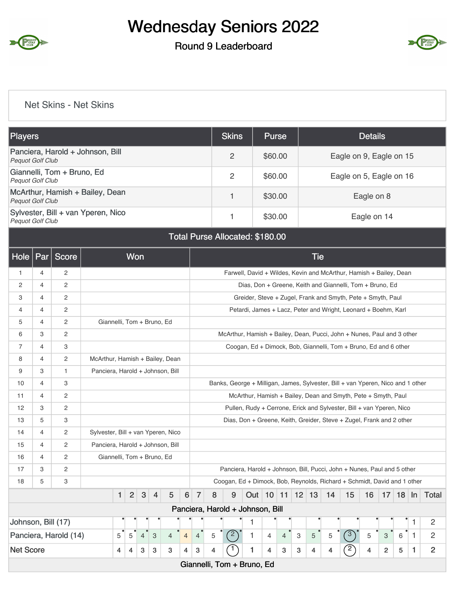

### Round 9 Leaderboard



#### Net Skins - Net Skins

| <b>Players</b>                                                | <b>Skins</b> | <b>Purse</b> | <b>Details</b>          |
|---------------------------------------------------------------|--------------|--------------|-------------------------|
| Panciera, Harold + Johnson, Bill<br><b>Pequot Golf Club</b>   | 2            | \$60.00      | Eagle on 9, Eagle on 15 |
| Giannelli, Tom + Bruno, Ed<br><b>Pequot Golf Club</b>         | 2            | \$60.00      | Eagle on 5, Eagle on 16 |
| McArthur, Hamish + Bailey, Dean<br><b>Pequot Golf Club</b>    |              | \$30.00      | Eagle on 8              |
| Sylvester, Bill + van Yperen, Nico<br><b>Pequot Golf Club</b> |              | \$30.00      | Eagle on 14             |

#### Total Purse Allocated: \$180.00

| <b>Hole</b>        | Par            | <b>Score</b>          |                                    |              | Won            |                |                |                |                |                           |                |                                                                                 |   |                         |                |   | <b>Tie</b> |    |                                                                      |    |                |         |              |                |
|--------------------|----------------|-----------------------|------------------------------------|--------------|----------------|----------------|----------------|----------------|----------------|---------------------------|----------------|---------------------------------------------------------------------------------|---|-------------------------|----------------|---|------------|----|----------------------------------------------------------------------|----|----------------|---------|--------------|----------------|
| $\mathbf{1}$       | $\overline{4}$ | $\overline{2}$        |                                    |              |                |                |                |                |                |                           |                |                                                                                 |   |                         |                |   |            |    | Farwell, David + Wildes, Kevin and McArthur, Hamish + Bailey, Dean   |    |                |         |              |                |
| 2                  | 4              | $\overline{c}$        |                                    |              |                |                |                |                |                |                           |                |                                                                                 |   |                         |                |   |            |    | Dias, Don + Greene, Keith and Giannelli, Tom + Bruno, Ed             |    |                |         |              |                |
| 3                  | $\overline{4}$ | $\mathbf{2}$          |                                    |              |                |                |                |                |                |                           |                |                                                                                 |   |                         |                |   |            |    | Greider, Steve + Zugel, Frank and Smyth, Pete + Smyth, Paul          |    |                |         |              |                |
| 4                  | $\overline{4}$ | $\overline{2}$        |                                    |              |                |                |                |                |                |                           |                |                                                                                 |   |                         |                |   |            |    | Petardi, James + Lacz, Peter and Wright, Leonard + Boehm, Karl       |    |                |         |              |                |
| 5                  | $\overline{4}$ | $\mathbf{2}$          | Giannelli, Tom + Bruno, Ed         |              |                |                |                |                |                |                           |                |                                                                                 |   |                         |                |   |            |    |                                                                      |    |                |         |              |                |
| 6                  | 3              | 2                     |                                    |              |                |                |                |                |                |                           |                | McArthur, Hamish + Bailey, Dean, Pucci, John + Nunes, Paul and 3 other          |   |                         |                |   |            |    |                                                                      |    |                |         |              |                |
| $\overline{7}$     | $\overline{4}$ | 3                     |                                    |              |                |                |                |                |                |                           |                |                                                                                 |   |                         |                |   |            |    | Coogan, Ed + Dimock, Bob, Giannelli, Tom + Bruno, Ed and 6 other     |    |                |         |              |                |
| 8                  | $\overline{4}$ | $\overline{2}$        | McArthur, Hamish + Bailey, Dean    |              |                |                |                |                |                |                           |                |                                                                                 |   |                         |                |   |            |    |                                                                      |    |                |         |              |                |
| 9                  | 3              | $\mathbf{1}$          | Panciera, Harold + Johnson, Bill   |              |                |                |                |                |                |                           |                |                                                                                 |   |                         |                |   |            |    |                                                                      |    |                |         |              |                |
| 10                 | $\overline{4}$ | 3                     |                                    |              |                |                |                |                |                |                           |                | Banks, George + Milligan, James, Sylvester, Bill + van Yperen, Nico and 1 other |   |                         |                |   |            |    |                                                                      |    |                |         |              |                |
| 11                 | 4              | $\overline{c}$        |                                    |              |                |                |                |                |                |                           |                |                                                                                 |   |                         |                |   |            |    | McArthur, Hamish + Bailey, Dean and Smyth, Pete + Smyth, Paul        |    |                |         |              |                |
| 12                 | 3              | $\overline{c}$        |                                    |              |                |                |                |                |                |                           |                |                                                                                 |   |                         |                |   |            |    | Pullen, Rudy + Cerrone, Erick and Sylvester, Bill + van Yperen, Nico |    |                |         |              |                |
| 13                 | 5              | 3                     |                                    |              |                |                |                |                |                |                           |                |                                                                                 |   |                         |                |   |            |    | Dias, Don + Greene, Keith, Greider, Steve + Zugel, Frank and 2 other |    |                |         |              |                |
| 14                 | $\overline{4}$ | $\mathbf{2}$          | Sylvester, Bill + van Yperen, Nico |              |                |                |                |                |                |                           |                |                                                                                 |   |                         |                |   |            |    |                                                                      |    |                |         |              |                |
| 15                 | 4              | $\overline{2}$        | Panciera, Harold + Johnson, Bill   |              |                |                |                |                |                |                           |                |                                                                                 |   |                         |                |   |            |    |                                                                      |    |                |         |              |                |
| 16                 | $\overline{4}$ | $\overline{c}$        | Giannelli, Tom + Bruno, Ed         |              |                |                |                |                |                |                           |                |                                                                                 |   |                         |                |   |            |    |                                                                      |    |                |         |              |                |
| 17                 | 3              | $\overline{2}$        |                                    |              |                |                |                |                |                |                           |                | Panciera, Harold + Johnson, Bill, Pucci, John + Nunes, Paul and 5 other         |   |                         |                |   |            |    |                                                                      |    |                |         |              |                |
| 18                 | 5              | 3                     |                                    |              |                |                |                |                |                |                           |                | Coogan, Ed + Dimock, Bob, Reynolds, Richard + Schmidt, David and 1 other        |   |                         |                |   |            |    |                                                                      |    |                |         |              |                |
|                    |                |                       |                                    | $\mathbf{1}$ | $\overline{2}$ | $\sqrt{3}$     | $\overline{4}$ | 5              | 6              | $\overline{7}$            | 8              | 9                                                                               |   | Out   10   11   12   13 |                |   |            | 14 | 15                                                                   | 16 |                | $17$ 18 | $\ln$        | Total          |
|                    |                |                       |                                    |              |                |                |                |                |                |                           |                | Panciera, Harold + Johnson, Bill                                                |   |                         |                |   |            |    |                                                                      |    |                |         |              |                |
| Johnson, Bill (17) |                |                       |                                    |              |                |                |                |                |                |                           |                |                                                                                 | 1 |                         |                |   |            |    |                                                                      |    |                |         | 1            | 2              |
|                    |                | Panciera, Harold (14) |                                    | 5            | 5              | $\overline{4}$ | $\mathbf{3}$   | $\overline{4}$ | $\overline{4}$ | $\overline{4}$            | 5              | (2)                                                                             | 1 | $\overline{4}$          | $\overline{4}$ | 3 | 5          | 5  | $\circled{3}$                                                        | 5  | 3              | 6       | $\mathbf{1}$ | $\overline{2}$ |
| <b>Net Score</b>   |                |                       |                                    | 4            | 4              | 3              | 3              | 3              | 4              | $\ensuremath{\mathsf{3}}$ | $\overline{4}$ | 1                                                                               | 1 | 4                       | 3              | 3 | 4          | 4  | $\mathbf{2}$                                                         | 4  | $\overline{c}$ | 5       | 1            | $\overline{2}$ |
|                    |                |                       |                                    |              |                |                |                |                |                |                           |                | Giannelli, Tom + Bruno, Ed                                                      |   |                         |                |   |            |    |                                                                      |    |                |         |              |                |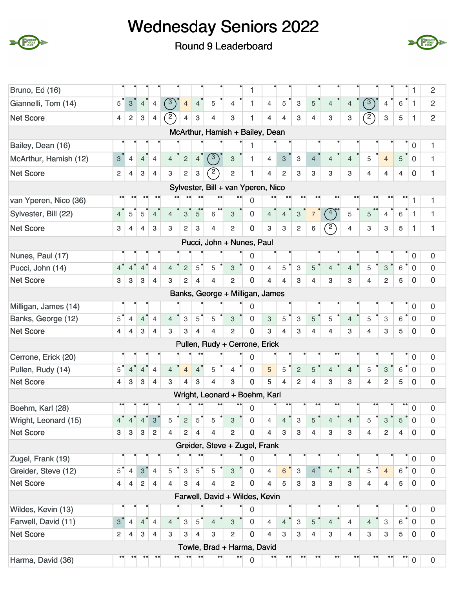





| Bruno, Ed (16)        |                |                           |                           |                |                  |                           |                           |                                    |                           | 1                |                |                           |                           |                  |                        |                  |                         |                           |                             | 1                   | $\overline{c}$      |
|-----------------------|----------------|---------------------------|---------------------------|----------------|------------------|---------------------------|---------------------------|------------------------------------|---------------------------|------------------|----------------|---------------------------|---------------------------|------------------|------------------------|------------------|-------------------------|---------------------------|-----------------------------|---------------------|---------------------|
| Giannelli, Tom (14)   | 5              | $\mathbf{3}$              | $\overline{4}$            | $\overline{4}$ | $\sqrt{3}$       | $\overline{4}$            | $\overline{4}$            | 5                                  | $\overline{4}$            | $\mathbf{1}$     | $\overline{4}$ | 5                         | 3                         | 5                | $\overline{4}$         | $\overline{4}$   | $\binom{3}{ }$          | $\overline{4}$            | 6                           | $\mathbf{1}$        | $\overline{2}$      |
| <b>Net Score</b>      | $\overline{4}$ | $\overline{2}$            | $\mathbf{3}$              | 4              | $\mathbb{Z}$     | 4                         | $\ensuremath{\mathsf{3}}$ | 4                                  | $\boldsymbol{3}$          | 1                | 4              | $\overline{4}$            | 3                         | 4                | 3                      | 3                | $\sqrt{2}$              | $\,3$                     | 5                           | 1                   | $\overline{2}$      |
|                       |                |                           |                           |                |                  |                           |                           | McArthur, Hamish + Bailey, Dean    |                           |                  |                |                           |                           |                  |                        |                  |                         |                           |                             |                     |                     |
| Bailey, Dean (16)     |                |                           |                           |                |                  |                           |                           |                                    |                           | 1                |                |                           |                           |                  |                        |                  |                         |                           |                             | 0                   | 1                   |
| McArthur, Hamish (12) | 3 <sup>1</sup> | $\overline{4}$            | $\overline{4}$            | $\overline{4}$ | $\overline{4}$   | $\sqrt{2}$                | $\overline{4}$            | $\sqrt{3}$                         | $\ensuremath{\mathsf{3}}$ | 1                | $\overline{4}$ | $\ensuremath{\mathsf{3}}$ | $\ensuremath{\mathsf{3}}$ | $\overline{4}$   | 4                      | $\overline{4}$   | 5                       | $\overline{4}$            | 5                           | $\overline{0}$      | 1                   |
| <b>Net Score</b>      | $\overline{2}$ | 4                         | 3                         | $\overline{4}$ | 3                | $\mathbf 2$               | $\mathbf 3$               | $\mathbf{C}$                       | $\overline{c}$            | 1                | $\overline{4}$ | $\mathbf{2}$              | 3                         | 3                | 3                      | 3                | $\overline{4}$          | $\overline{4}$            | $\overline{4}$              | $\mathbf 0$         | $\mathbf{1}$        |
|                       |                |                           |                           |                |                  |                           |                           | Sylvester, Bill + van Yperen, Nico |                           |                  |                |                           |                           |                  |                        |                  |                         |                           |                             |                     |                     |
| van Yperen, Nico (36) |                |                           |                           |                |                  |                           |                           |                                    |                           | 0                |                |                           | $\bullet\bullet$          |                  |                        | $\bullet\bullet$ | $\bullet$               |                           |                             | 1                   | 1                   |
| Sylvester, Bill (22)  | $\overline{4}$ | 5                         | 5                         | $\overline{4}$ | $\overline{4}$   | $\ensuremath{\mathsf{3}}$ | $5^{\circ}$               | $\bullet\bullet$<br>6              | 3                         | $\boldsymbol{0}$ | $\overline{4}$ | $\overline{4}$            | $\ensuremath{\mathsf{3}}$ | $\overline{7}$   | $\sqrt{4}$             | 5                | 5                       | 4                         | 6                           | $\mathbf{1}$        | 1                   |
| <b>Net Score</b>      | 3              | $\overline{4}$            | $\overline{4}$            | 3              | 3                | $\overline{2}$            | 3                         | $\overline{4}$                     | 2                         | $\bf{0}$         | 3              | $\mathbf{3}$              | $\overline{2}$            | 6                | $\widehat{2}$          | $\overline{4}$   | 3                       | $\mathbf{3}$              | 5                           | 1                   | 1                   |
|                       |                |                           |                           |                |                  |                           |                           | Pucci, John + Nunes, Paul          |                           |                  |                |                           |                           |                  |                        |                  |                         |                           |                             |                     |                     |
| Nunes, Paul (17)      |                |                           |                           |                |                  |                           |                           |                                    |                           | 0                |                |                           |                           |                  |                        |                  |                         |                           |                             | 0                   | $\mathbf 0$         |
| Pucci, John (14)      | $4^{\degree}$  | $4^{\circ}$               | 4 <sup>°</sup>            | $\overline{4}$ | $\overline{4}$   | $\sqrt{2}$                | $5^{\degree}$             | 5                                  | $\mathbf{3}$              | $\mathbf 0$      | $\overline{4}$ | 5                         | $\ensuremath{\mathsf{3}}$ | $\overline{5}$   | $\overline{4}$         | $\overline{4}$   | 5                       | $\ensuremath{\mathsf{3}}$ | $\bullet$<br>$6\phantom{1}$ | $\mathbf 0$         | $\mathbf 0$         |
| <b>Net Score</b>      | $\mathbf{3}$   | $\mathbf{3}$              | $\mathbf{3}$              | 4              | 3                | $\overline{2}$            | $\overline{4}$            | $\overline{4}$                     | 2                         | 0                | $\overline{4}$ | $\overline{\mathbf{4}}$   | 3                         | $\overline{4}$   | 3                      | 3                | 4                       | $\overline{c}$            | 5                           | $\mathbf 0$         | $\mathbf 0$         |
|                       |                |                           |                           |                |                  |                           |                           | Banks, George + Milligan, James    |                           |                  |                |                           |                           |                  |                        |                  |                         |                           |                             |                     |                     |
| Milligan, James (14)  |                |                           |                           |                |                  |                           |                           |                                    |                           | 0                |                |                           |                           |                  |                        |                  |                         |                           |                             | 0                   | $\mathbf 0$         |
| Banks, George (12)    | $5^{\degree}$  | $\overline{4}$            | $\overline{4}$            | $\overline{4}$ | $\overline{4}$   | $\ensuremath{\mathsf{3}}$ | 5                         | 5                                  | $\ensuremath{\mathsf{3}}$ | $\overline{0}$   | $\mathbf{3}$   | 5                         | 3                         | 5                | 5                      | $\overline{4}$   | 5                       | 3                         | 6                           | $\overline{0}$      | $\overline{0}$      |
| <b>Net Score</b>      | $\overline{4}$ | $\overline{4}$            | $\ensuremath{\mathsf{3}}$ | $\overline{4}$ | 3                | $\mathbf 3$               | $\overline{\mathbf{4}}$   | $\overline{4}$                     | $\overline{c}$            | $\overline{0}$   | 3              | $\overline{4}$            | 3                         | $\overline{4}$   | $\overline{4}$         | 3                | $\overline{\mathbf{4}}$ | 3                         | 5                           | $\bf{0}$            | $\bf{0}$            |
|                       |                |                           |                           |                |                  |                           |                           | Pullen, Rudy + Cerrone, Erick      |                           |                  |                |                           |                           |                  |                        |                  |                         |                           |                             |                     |                     |
| Cerrone, Erick (20)   |                |                           |                           |                |                  |                           |                           |                                    |                           | 0                |                |                           |                           |                  |                        |                  |                         |                           |                             | $\boldsymbol{0}$    | $\mathbf 0$         |
| Pullen, Rudy (14)     | $5^{\bullet}$  | 4 <sup>°</sup>            | $\overline{4}$            | $\overline{4}$ | $\overline{4}$   | $\overline{4}$            | $\overline{4}$            | 5                                  | $\overline{4}$            | 0                | $\overline{5}$ | 5                         | $\overline{c}$            | 5                | $\overline{4}$         | $\overline{4}$   | 5                       | $\mathbf{3}$              | 6                           | $\overline{0}$      | $\mathbf 0$         |
| <b>Net Score</b>      | $\overline{4}$ | $\ensuremath{\mathsf{3}}$ | $\ensuremath{\mathsf{3}}$ | $\overline{4}$ | 3                | 4                         | 3                         | 4                                  | 3                         | $\bf{0}$         | 5              | $\overline{4}$            | $\overline{2}$            | $\overline{4}$   | 3                      | 3                | 4                       | $\overline{c}$            | 5                           | $\bf{0}$            | $\bf{0}$            |
|                       |                |                           |                           |                |                  |                           |                           | Wright, Leonard + Boehm, Karl      |                           |                  |                |                           |                           |                  |                        |                  |                         |                           |                             |                     |                     |
| Boehm, Karl (28)      | $\bullet$      |                           |                           |                |                  |                           |                           |                                    |                           | 0                |                |                           |                           |                  | $\bullet\bullet$       |                  |                         |                           |                             | 0                   | 0                   |
| Wright, Leonard (15)  | 4 <sup>°</sup> | 4                         | $\overline{4}$            | 3              | 5                | $\overline{c}$            | 5                         | 5                                  | 3                         | 0                | 4              | 4                         | 3                         | 5                | 4                      | 4                | 5                       | 3                         | 5                           | $\overline{0}$      | $\mathbf 0$         |
| <b>Net Score</b>      | $\mathbf{3}$   | $\mathbf{3}$              | $\mathbf{3}$              | $\overline{c}$ | $\overline{4}$   | $\mathbf 2$               | 4                         | 4                                  | $\overline{2}$            | $\mathbf 0$      | $\overline{4}$ | $\mathbf{3}$              | $\mathbf{3}$              | $\overline{4}$   | 3                      | 3                | $\overline{4}$          | $\overline{2}$            | $\overline{4}$              | $\mathbf 0$         | $\pmb{0}$           |
|                       |                |                           |                           |                |                  |                           |                           | Greider, Steve + Zugel, Frank      |                           |                  |                |                           |                           |                  |                        |                  |                         |                           |                             |                     |                     |
| Zugel, Frank (19)     |                |                           |                           |                |                  |                           |                           |                                    |                           | 0                |                |                           |                           |                  |                        |                  |                         |                           |                             | 0                   | $\mathbf 0$         |
| Greider, Steve (12)   | $5^{\degree}$  | $\overline{4}$            | $3^{\degree}$             | $\overline{4}$ | 5                | $\ensuremath{\mathsf{3}}$ | $5^{\degree}$             | 5                                  | $\ensuremath{\mathsf{3}}$ | $\mathbf 0$      | 4              | $6\phantom{a}$            | $\ensuremath{\mathsf{3}}$ | $\overline{4}$   | $\overline{4}$         | $\overline{4}$   | 5                       | $\overline{4}$            | 6                           | $\mathbf 0$         | $\mathsf{O}\xspace$ |
| <b>Net Score</b>      | $\overline{4}$ | $\overline{\mathbf{4}}$   | $\overline{2}$            | 4              | 4                | 3                         | 4                         | $\overline{4}$                     | $\overline{2}$            | $\mathbf{0}$     | $\overline{4}$ | 5                         | 3                         | $\mathbf{3}$     | 3                      | 3                | $\overline{4}$          | $\overline{4}$            | 5                           | $\bf{0}$            | $\pmb{0}$           |
|                       |                |                           |                           |                |                  |                           |                           | Farwell, David + Wildes, Kevin     |                           |                  |                |                           |                           |                  |                        |                  |                         |                           |                             |                     |                     |
| Wildes, Kevin (13)    |                |                           |                           |                |                  |                           |                           |                                    |                           | 0                |                |                           |                           |                  |                        |                  |                         |                           |                             | $\mathsf{O}\xspace$ | $\mathbf 0$         |
| Farwell, David (11)   | $3^{\degree}$  | $\overline{4}$            | 4 <sup>°</sup>            | $\overline{4}$ | $\overline{4}$   | $\ensuremath{\mathsf{3}}$ | $5^{\degree}$             | $\overline{4}$                     | 3                         | $\overline{0}$   | $\overline{4}$ | $\overline{4}$            | $\ensuremath{\mathsf{3}}$ | 5                | $\overline{4}$         | $\overline{4}$   | $\overline{4}$          | 3                         | 6                           | $\boldsymbol{0}$    | $\mathsf{O}\xspace$ |
| <b>Net Score</b>      | $\overline{2}$ | 4                         | $\mathbf{3}$              | $\overline{4}$ | 3                | 3                         | 4                         | 3                                  | $\mathbf 2$               | $\mathbf 0$      | 4              | 3                         | $\mathbf{3}$              | $\overline{4}$   | 3                      | $\overline{4}$   | $\mathbf{3}$            | 3                         | 5                           | $\mathbf 0$         | $\pmb{0}$           |
|                       |                |                           |                           |                |                  |                           |                           | Towle, Brad + Harma, David         |                           |                  |                |                           |                           |                  |                        |                  |                         |                           |                             |                     |                     |
| Harma, David (36)     | $\bullet$      | $\bullet\bullet$          |                           | $\bullet$      | $\bullet\bullet$ |                           |                           |                                    |                           | $\boldsymbol{0}$ |                |                           | $\bullet$                 | $\bullet\bullet$ | $\bullet$<br>$\bullet$ | $\bullet$        | $\bullet$               | $\bullet$                 | $\bullet$                   | $\boldsymbol{0}$    | $\mathbf 0$         |